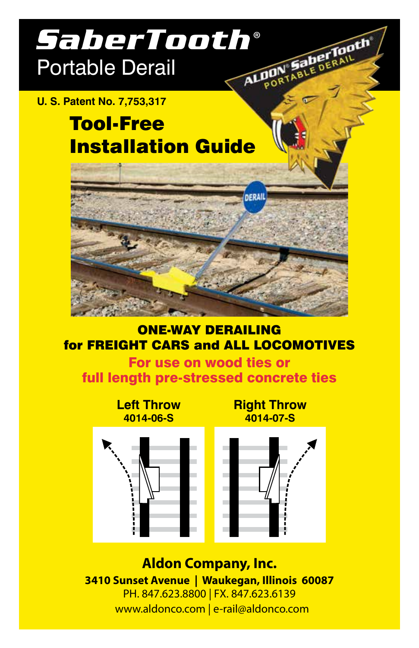# *SaberTooth®* Portable Derail ALDON

#### **U. S. Patent No. 7,753,317**

# Tool-Free Installation Guide



#### ONE-WAY DERAILING for FREIGHT CARS and ALL LOCOMOTIVES

For use on wood ties or full length pre-stressed concrete ties

> **Left Throw 4014-06-S**

**Right Throw 4014-07-S**

**aberTooth** 

POR





**Aldon Company, Inc. 3410 Sunset Avenue | Waukegan, Illinois 60087** PH. 847.623.8800 | FX. 847.623.6139 www.aldonco.com | e-rail@aldonco.com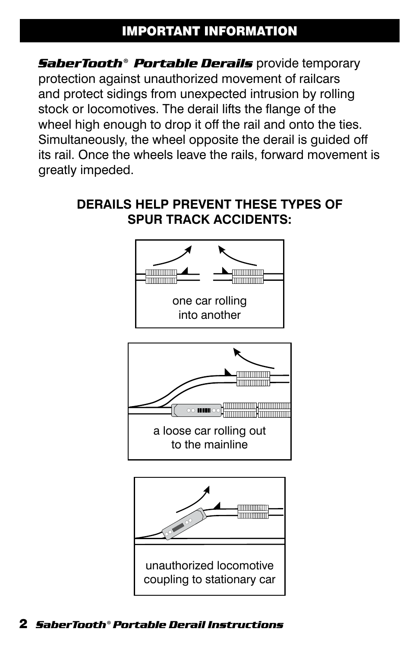# IMPORTANT INFORMATION

*SaberTooth® Portable Derails* provide temporary protection against unauthorized movement of railcars and protect sidings from unexpected intrusion by rolling stock or locomotives. The derail lifts the flange of the wheel high enough to drop it off the rail and onto the ties. Simultaneously, the wheel opposite the derail is guided off its rail. Once the wheels leave the rails, forward movement is greatly impeded.

#### **DERAILS HELP PREVENT THESE TYPES OF SPUR TRACK ACCIDENTS:**



2 *SaberTooth® Portable Derail Instructions*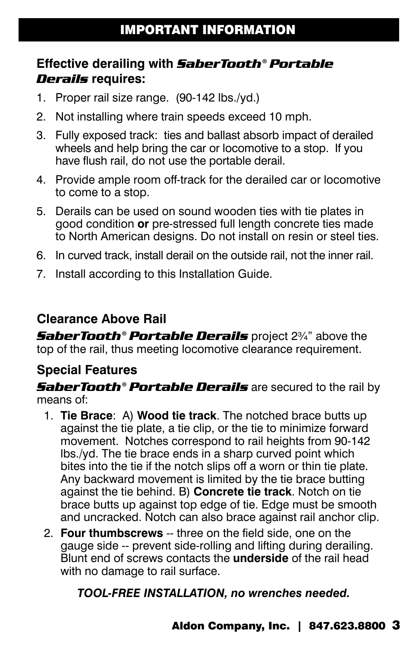## **Effective derailing with** *SaberTooth® Portable Derails* **requires:**

- 1. Proper rail size range. (90-142 lbs./yd.)
- 2. Not installing where train speeds exceed 10 mph.
- 3. Fully exposed track: ties and ballast absorb impact of derailed wheels and help bring the car or locomotive to a stop. If you have flush rail, do not use the portable derail.
- 4. Provide ample room off-track for the derailed car or locomotive to come to a stop.
- 5. Derails can be used on sound wooden ties with tie plates in good condition **or** pre-stressed full length concrete ties made to North American designs. Do not install on resin or steel ties.
- 6. In curved track, install derail on the outside rail, not the inner rail.
- 7. Install according to this Installation Guide.

#### **Clearance Above Rail**

*SaberTooth® Portable Derails* project 2¾" above the top of the rail, thus meeting locomotive clearance requirement.

#### **Special Features**

*SaberTooth® Portable Derails* are secured to the rail by means of:

- 1. **Tie Brace**: A) **Wood tie track**. The notched brace butts up against the tie plate, a tie clip, or the tie to minimize forward movement. Notches correspond to rail heights from 90-142 lbs./yd. The tie brace ends in a sharp curved point which bites into the tie if the notch slips off a worn or thin tie plate. Any backward movement is limited by the tie brace butting against the tie behind. B) **Concrete tie track**. Notch on tie brace butts up against top edge of tie. Edge must be smooth and uncracked. Notch can also brace against rail anchor clip.
- 2. **Four thumbscrews** -- three on the field side, one on the gauge side -- prevent side-rolling and lifting during derailing. Blunt end of screws contacts the **underside** of the rail head with no damage to rail surface.

*TOOL-FREE INSTALLATION, no wrenches needed.*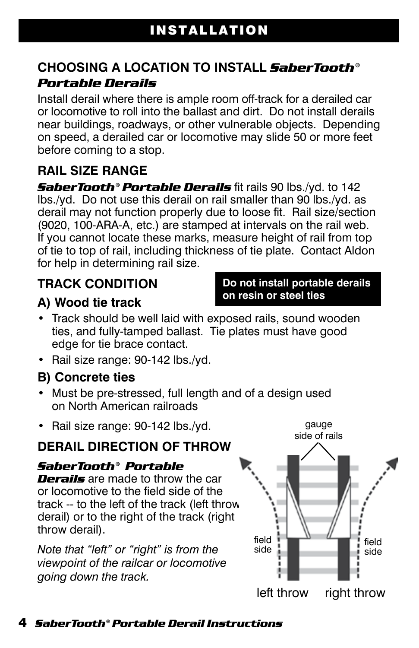### **CHOOSING A LOCATION TO INSTALL** *SaberTooth® Portable Derails*

Install derail where there is ample room off-track for a derailed car or locomotive to roll into the ballast and dirt. Do not install derails near buildings, roadways, or other vulnerable objects. Depending on speed, a derailed car or locomotive may slide 50 or more feet before coming to a stop.

# **RAIL SIZE RANGE**

*SaberTooth® Portable Derails* fit rails 90 lbs./yd. to 142 lbs./yd. Do not use this derail on rail smaller than 90 lbs./yd. as derail may not function properly due to loose fit. Rail size/section (9020, 100-ARA-A, etc.) are stamped at intervals on the rail web. If you cannot locate these marks, measure height of rail from top of tie to top of rail, including thickness of tie plate. Contact Aldon for help in determining rail size.

# **TRACK CONDITION**

## **A) Wood tie track**

- Track should be well laid with exposed rails, sound wooden ties, and fully-tamped ballast. Tie plates must have good edge for tie brace contact.
- Rail size range: 90-142 lbs./yd.

#### **B) Concrete ties**

- Must be pre-stressed, full length and of a design used on North American railroads
- Rail size range: 90-142 lbs./yd.

## **DERAIL DIRECTION OF THROW**

#### *SaberTooth® Portable*

**Derails** are made to throw the car or locomotive to the field side of the track -- to the left of the track (left throw derail) or to the right of the track (right throw derail).

*Note that "left" or "right" is from the viewpoint of the railcar or locomotive going down the track.*





**Do not install portable derails** 

**on resin or steel ties**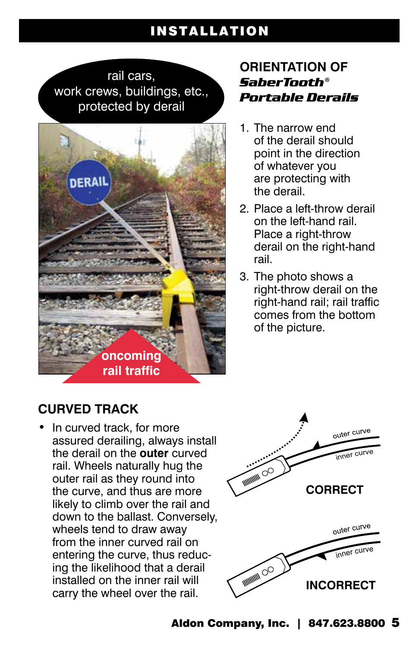# INSTALLATION

rail cars, work crews, buildings, etc., protected by derail



#### **ORIENTATION OF**  *SaberTooth® Portable Derails*

- 1. The narrow end of the derail should point in the direction of whatever you are protecting with the derail.
- 2. Place a left-throw derail on the left-hand rail. Place a right-throw derail on the right-hand rail.
- 3. The photo shows a right-throw derail on the right-hand rail; rail traffic comes from the bottom of the picture.

## **CURVED TRACK**

rail. Wheels naturally hug the • In curved track, for more assured derailing, always install the derail on the **outer** curved outer rail as they round into the curve, and thus are more likely to climb over the rail and down to the ballast. Conversely, wheels tend to draw away from the inner curved rail on entering the curve, thus reducing the likelihood that a derail installed on the inner rail will carry the wheel over the rail.

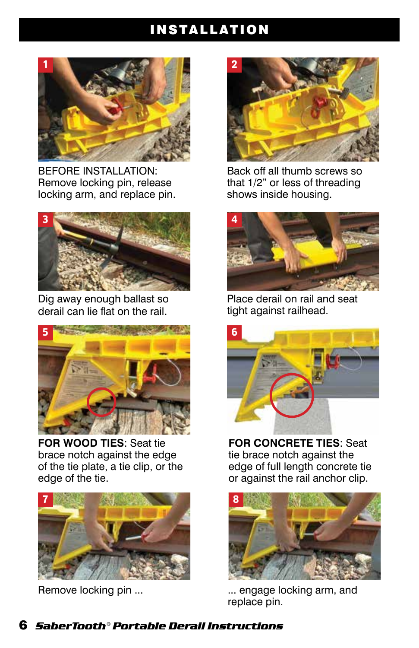# INSTALLATION



BEFORE INSTALLATION: Remove locking pin, release locking arm, and replace pin.



Dig away enough ballast so derail can lie flat on the rail.



**FOR WOOD TIES**: Seat tie brace notch against the edge of the tie plate, a tie clip, or the edge of the tie.



Remove locking pin ...



Back off all thumb screws so that 1/2" or less of threading shows inside housing.



Place derail on rail and seat tight against railhead.



**FOR CONCRETE TIES**: Seat tie brace notch against the edge of full length concrete tie or against the rail anchor clip.



... engage locking arm, and replace pin.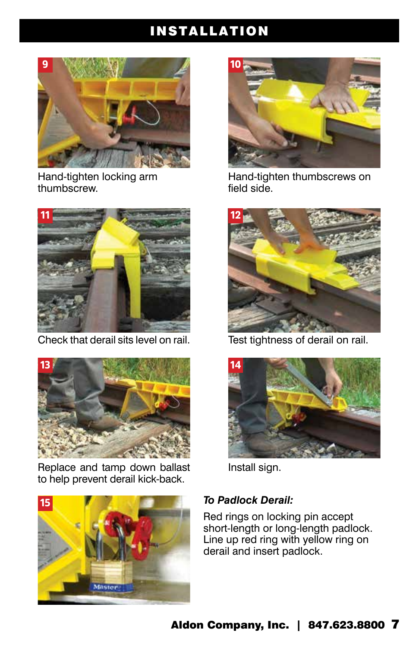# INSTALLATION



Hand-tighten locking arm thumbscrew.



Check that derail sits level on rail. Test tightness of derail on rail.



Replace and tamp down ballast Install sign. to help prevent derail kick-back.





Hand-tighten thumbscrews on field side.





#### *To Padlock Derail:*

Red rings on locking pin accept short-length or long-length padlock. Line up red ring with yellow ring on derail and insert padlock.